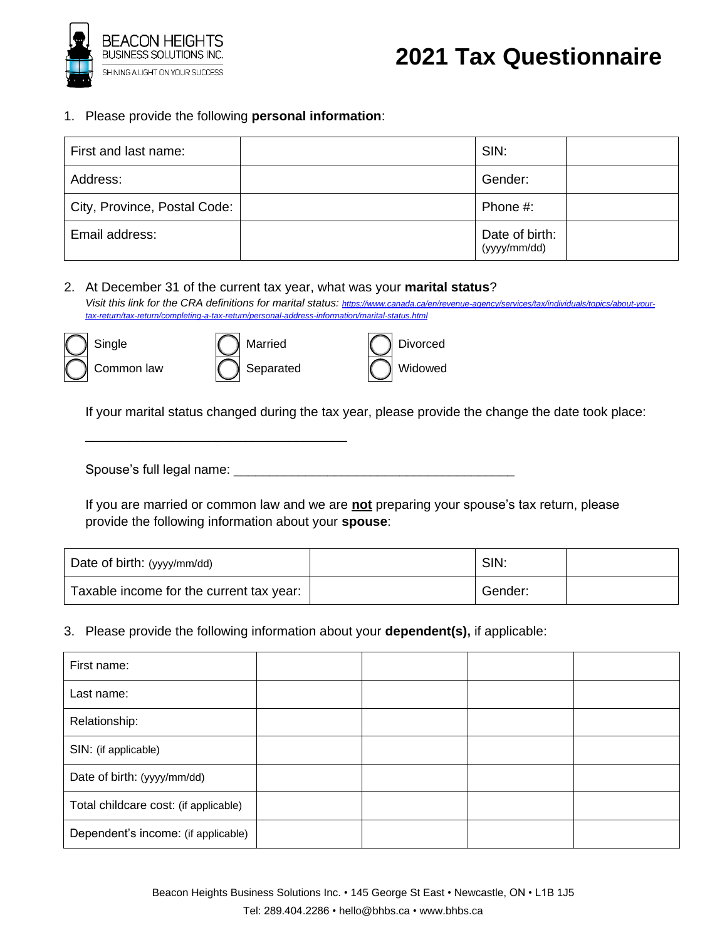

## **2021 Tax Questionnaire**

1. Please provide the following **personal information**:

| First and last name:         | SIN:                           |  |
|------------------------------|--------------------------------|--|
| Address:                     | Gender:                        |  |
| City, Province, Postal Code: | Phone #:                       |  |
| Email address:               | Date of birth:<br>(yyyy/mm/dd) |  |

2. At December 31 of the current tax year, what was your **marital status**?

Visit this link for the CRA definitions for marital status: [https://www.canada.ca/en/revenue-agency/services/tax/individuals/topics/about-your](https://www.canada.ca/en/revenue-agency/services/tax/individuals/topics/about-your-tax-return/tax-return/completing-a-tax-return/personal-address-information/marital-status.html)*[tax-return/tax-return/completing-a-tax-return/personal-address-information/marital-status.html](https://www.canada.ca/en/revenue-agency/services/tax/individuals/topics/about-your-tax-return/tax-return/completing-a-tax-return/personal-address-information/marital-status.html)*





\_\_\_\_\_\_\_\_\_\_\_\_\_\_\_\_\_\_\_\_\_\_\_\_\_\_\_\_\_\_\_\_\_\_\_\_

| <b>Divorced</b> |
|-----------------|
| Widowed         |

If your marital status changed during the tax year, please provide the change the date took place:

Spouse's full legal name: \_\_\_\_\_\_\_\_\_\_\_\_\_\_\_\_\_\_\_\_\_\_\_\_\_\_\_\_\_\_\_\_\_\_\_\_\_\_\_

If you are married or common law and we are **not** preparing your spouse's tax return, please provide the following information about your **spouse**:

| Date of birth: (yyyy/mm/dd)              | SIN:    |  |
|------------------------------------------|---------|--|
| Taxable income for the current tax year: | Gender: |  |

3. Please provide the following information about your **dependent(s),** if applicable:

| First name:                           |  |  |
|---------------------------------------|--|--|
| Last name:                            |  |  |
| Relationship:                         |  |  |
| SIN: (if applicable)                  |  |  |
| Date of birth: (yyyy/mm/dd)           |  |  |
| Total childcare cost: (if applicable) |  |  |
| Dependent's income: (if applicable)   |  |  |